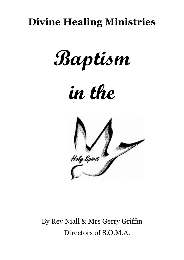## **Divine Healing Ministries**

**Baptism** 

# **in the**



By Rev Niall & Mrs Gerry Griffin Directors of S.O.M.A.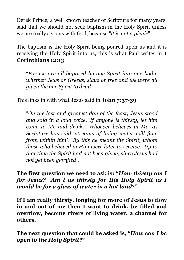Derek Prince, a well known teacher of Scripture for many years, said that we should not seek baptism in the Holy Spirit unless we are really serious with God, because "*it is not a picnic*".

The baptism is the Holy Spirit being poured upon us and it is receiving the Holy Spirit into us, this is what Paul writes in **1 Corinthians 12:13**

"*For we are all baptised by one Spirit into one body, whether Jews or Greeks, slave or free and we were all given the one Spirit to drink"*

This links in with what Jesus said in **John 7:37-39**

"*On the last and greatest day of the feast, Jesus stood and said in a loud voice, 'If anyone is thirsty, let him come to Me and drink. Whoever believes in Me, as Scripture has said, streams of living water will flow from within him'. By this he meant the Spirit, whom those who believed in Him were later to receive. Up to that time the Spirit had not been given, since Jesus had not yet been glorified".*

**The first question we need to ask is: "***How thirsty am I for Jesus? Am I as thirsty for His Holy Spirit as I would be for a glass of water in a hot land***?"** 

**If I am really thirsty, longing for more of Jesus to flow in and out of me then I want to drink, be filled and overflow, become rivers of living water, a channel for others.**

**The next question that could be asked is, "***How can I be open to the Holy Spirit?***"**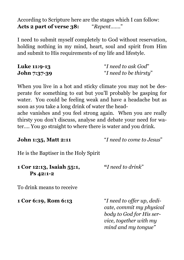According to Scripture here are the stages which I can follow: **Acts 2 part of verse 38:** "*Repent…….*"

I need to submit myself completely to God without reservation, holding nothing in my mind, heart, soul and spirit from Him and submit to His requirements of my life and lifestyle.

| <b>Luke 11:9-13</b> | "I need to ask God"    |
|---------------------|------------------------|
| <b>John 7:37-39</b> | "I need to be thirsty" |

When you live in a hot and sticky climate you may not be desperate for something to eat but you'll probably be gasping for water. You could be feeling weak and have a headache but as soon as you take a long drink of water the headache vanishes and you feel strong again. When you are really

thirsty you don't discuss, analyse and debate your need for water…. You go straight to where there is water and you drink.

| <b>John 1:35, Matt 2:11</b> |  |
|-----------------------------|--|
|-----------------------------|--|

**John 1:35, Matt 2:11** "*I need to come to Jesus*"

He is the Baptiser in the Holy Spirit

| 1 Cor 12:13, Isaiah 55:1, | "I need to drink" |
|---------------------------|-------------------|
| $Ps$ 42:1-2               |                   |

To drink means to receive

**1 Cor 6:19, Rom 6:13** "*I need to offer up, dedicate, commit my physical body to God for His service, together with my mind and my tongue"*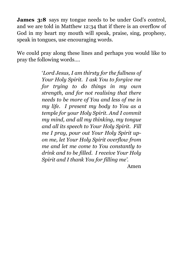**James 3:8** says my tongue needs to be under God's control, and we are told in Matthew 12:34 that if there is an overflow of God in my heart my mouth will speak, praise, sing, prophesy, speak in tongues, use encouraging words.

We could pray along these lines and perhaps you would like to pray the following words….

> '*Lord Jesus, I am thirsty for the fullness of Your Holy Spirit. I ask You to forgive me for trying to do things in my own strength, and for not realising that there needs to be more of You and less of me in my life. I present my body to You as a temple for your Holy Spirit. And I commit my mind, and all my thinking, my tongue and all its speech to Your Holy Spirit. Fill me I pray, pour out Your Holy Spirit upon me, let Your Holy Spirit overflow from me and let me come to You constantly to drink and to be filled. I receive Your Holy Spirit and I thank You for filling me'*.

> > Amen